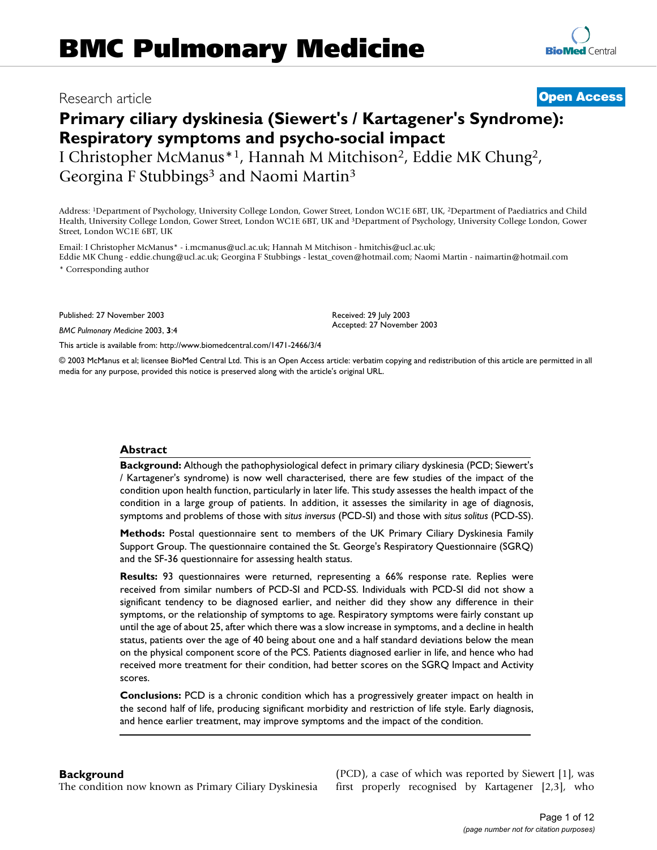## Research article **[Open Access](http://www.biomedcentral.com/info/about/charter/)**

**[BioMed](http://www.biomedcentral.com/)** Central

# **Primary ciliary dyskinesia (Siewert's / Kartagener's Syndrome): Respiratory symptoms and psycho-social impact** I Christopher McManus\*1, Hannah M Mitchison2, Eddie MK Chung2, Georgina F Stubbings<sup>3</sup> and Naomi Martin<sup>3</sup>

Address: 1Department of Psychology, University College London, Gower Street, London WC1E 6BT, UK, 2Department of Paediatrics and Child Health, University College London, Gower Street, London WC1E 6BT, UK and 3Department of Psychology, University College London, Gower Street, London WC1E 6BT, UK

Email: I Christopher McManus\* - i.mcmanus@ucl.ac.uk; Hannah M Mitchison - hmitchis@ucl.ac.uk; Eddie MK Chung - eddie.chung@ucl.ac.uk; Georgina F Stubbings - lestat\_coven@hotmail.com; Naomi Martin - naimartin@hotmail.com

\* Corresponding author

Published: 27 November 2003

*BMC Pulmonary Medicine* 2003, **3**:4

[This article is available from: http://www.biomedcentral.com/1471-2466/3/4](http://www.biomedcentral.com/1471-2466/3/4)

© 2003 McManus et al; licensee BioMed Central Ltd. This is an Open Access article: verbatim copying and redistribution of this article are permitted in all media for any purpose, provided this notice is preserved along with the article's original URL.

Received: 29 July 2003 Accepted: 27 November 2003

### **Abstract**

**Background:** Although the pathophysiological defect in primary ciliary dyskinesia (PCD; Siewert's / Kartagener's syndrome) is now well characterised, there are few studies of the impact of the condition upon health function, particularly in later life. This study assesses the health impact of the condition in a large group of patients. In addition, it assesses the similarity in age of diagnosis, symptoms and problems of those with *situs inversus* (PCD-SI) and those with *situs solitus* (PCD-SS).

**Methods:** Postal questionnaire sent to members of the UK Primary Ciliary Dyskinesia Family Support Group. The questionnaire contained the St. George's Respiratory Questionnaire (SGRQ) and the SF-36 questionnaire for assessing health status.

**Results:** 93 questionnaires were returned, representing a 66% response rate. Replies were received from similar numbers of PCD-SI and PCD-SS. Individuals with PCD-SI did not show a significant tendency to be diagnosed earlier, and neither did they show any difference in their symptoms, or the relationship of symptoms to age. Respiratory symptoms were fairly constant up until the age of about 25, after which there was a slow increase in symptoms, and a decline in health status, patients over the age of 40 being about one and a half standard deviations below the mean on the physical component score of the PCS. Patients diagnosed earlier in life, and hence who had received more treatment for their condition, had better scores on the SGRQ Impact and Activity scores.

**Conclusions:** PCD is a chronic condition which has a progressively greater impact on health in the second half of life, producing significant morbidity and restriction of life style. Early diagnosis, and hence earlier treatment, may improve symptoms and the impact of the condition.

## **Background**

The condition now known as Primary Ciliary Dyskinesia

(PCD), a case of which was reported by Siewert [1], was first properly recognised by Kartagener [2,3], who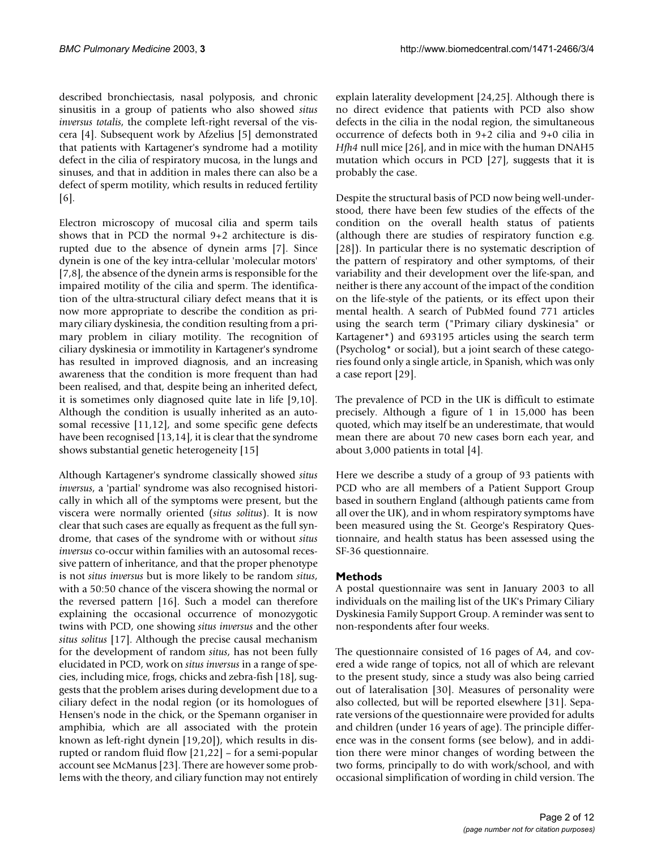described bronchiectasis, nasal polyposis, and chronic sinusitis in a group of patients who also showed *situs inversus totalis*, the complete left-right reversal of the viscera [4]. Subsequent work by Afzelius [5] demonstrated that patients with Kartagener's syndrome had a motility defect in the cilia of respiratory mucosa, in the lungs and sinuses, and that in addition in males there can also be a defect of sperm motility, which results in reduced fertility [6].

Electron microscopy of mucosal cilia and sperm tails shows that in PCD the normal 9+2 architecture is disrupted due to the absence of dynein arms [7]. Since dynein is one of the key intra-cellular 'molecular motors' [7,8], the absence of the dynein arms is responsible for the impaired motility of the cilia and sperm. The identification of the ultra-structural ciliary defect means that it is now more appropriate to describe the condition as primary ciliary dyskinesia, the condition resulting from a primary problem in ciliary motility. The recognition of ciliary dyskinesia or immotility in Kartagener's syndrome has resulted in improved diagnosis, and an increasing awareness that the condition is more frequent than had been realised, and that, despite being an inherited defect, it is sometimes only diagnosed quite late in life [9,10]. Although the condition is usually inherited as an autosomal recessive [11,12], and some specific gene defects have been recognised [13,14], it is clear that the syndrome shows substantial genetic heterogeneity [15]

Although Kartagener's syndrome classically showed *situs inversus*, a 'partial' syndrome was also recognised historically in which all of the symptoms were present, but the viscera were normally oriented (*situs solitus*). It is now clear that such cases are equally as frequent as the full syndrome, that cases of the syndrome with or without *situs inversus* co-occur within families with an autosomal recessive pattern of inheritance, and that the proper phenotype is not *situs inversus* but is more likely to be random *situs*, with a 50:50 chance of the viscera showing the normal or the reversed pattern [16]. Such a model can therefore explaining the occasional occurrence of monozygotic twins with PCD, one showing *situs inversus* and the other *situs solitus* [17]. Although the precise causal mechanism for the development of random *situs*, has not been fully elucidated in PCD, work on *situs inversus* in a range of species, including mice, frogs, chicks and zebra-fish [18], suggests that the problem arises during development due to a ciliary defect in the nodal region (or its homologues of Hensen's node in the chick, or the Spemann organiser in amphibia, which are all associated with the protein known as left-right dynein [[19](#page-11-0)[,20\]](#page-11-1)), which results in disrupted or random fluid flow [21[,22](#page-11-2)] – for a semi-popular account see McManus [23]. There are however some problems with the theory, and ciliary function may not entirely explain laterality development [24,25]. Although there is no direct evidence that patients with PCD also show defects in the cilia in the nodal region, the simultaneous occurrence of defects both in 9+2 cilia and 9+0 cilia in *Hfh4* null mice [26], and in mice with the human DNAH5 mutation which occurs in PCD [[27](#page-11-3)], suggests that it is probably the case.

Despite the structural basis of PCD now being well-understood, there have been few studies of the effects of the condition on the overall health status of patients (although there are studies of respiratory function e.g. [28]). In particular there is no systematic description of the pattern of respiratory and other symptoms, of their variability and their development over the life-span, and neither is there any account of the impact of the condition on the life-style of the patients, or its effect upon their mental health. A search of PubMed found 771 articles using the search term ("Primary ciliary dyskinesia" or Kartagener\*) and 693195 articles using the search term (Psycholog\* or social), but a joint search of these categories found only a single article, in Spanish, which was only a case report [29].

The prevalence of PCD in the UK is difficult to estimate precisely. Although a figure of 1 in 15,000 has been quoted, which may itself be an underestimate, that would mean there are about 70 new cases born each year, and about 3,000 patients in total [4].

Here we describe a study of a group of 93 patients with PCD who are all members of a Patient Support Group based in southern England (although patients came from all over the UK), and in whom respiratory symptoms have been measured using the St. George's Respiratory Questionnaire, and health status has been assessed using the SF-36 questionnaire.

## **Methods**

A postal questionnaire was sent in January 2003 to all individuals on the mailing list of the UK's Primary Ciliary Dyskinesia Family Support Group. A reminder was sent to non-respondents after four weeks.

The questionnaire consisted of 16 pages of A4, and covered a wide range of topics, not all of which are relevant to the present study, since a study was also being carried out of lateralisation [30]. Measures of personality were also collected, but will be reported elsewhere [31]. Separate versions of the questionnaire were provided for adults and children (under 16 years of age). The principle difference was in the consent forms (see below), and in addition there were minor changes of wording between the two forms, principally to do with work/school, and with occasional simplification of wording in child version. The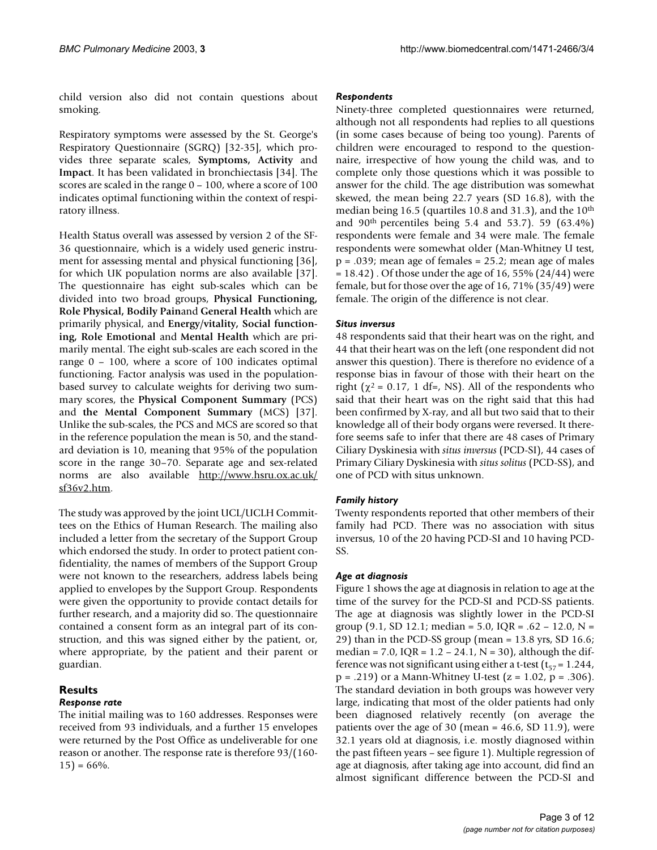child version also did not contain questions about smoking.

Respiratory symptoms were assessed by the St. George's Respiratory Questionnaire (SGRQ) [32-35], which provides three separate scales, **Symptoms, Activity** and **Impact**. It has been validated in bronchiectasis [34]. The scores are scaled in the range 0 – 100, where a score of 100 indicates optimal functioning within the context of respiratory illness.

Health Status overall was assessed by version 2 of the SF-36 questionnaire, which is a widely used generic instrument for assessing mental and physical functioning [36], for which UK population norms are also available [37]. The questionnaire has eight sub-scales which can be divided into two broad groups, **Physical Functioning, Role Physical, Bodily Pain**and **General Health** which are primarily physical, and **Energy/vitality, Social functioning, Role Emotional** and **Mental Health** which are primarily mental. The eight sub-scales are each scored in the range 0 – 100, where a score of 100 indicates optimal functioning. Factor analysis was used in the populationbased survey to calculate weights for deriving two summary scores, the **Physical Component Summary** (PCS) and **the Mental Component Summary** (MCS) [37]. Unlike the sub-scales, the PCS and MCS are scored so that in the reference population the mean is 50, and the standard deviation is 10, meaning that 95% of the population score in the range 30–70. Separate age and sex-related norms are also available [http://www.hsru.ox.ac.uk/](http://www.hsru.ox.ac.uk/sf36v2.htm) [sf36v2.htm.](http://www.hsru.ox.ac.uk/sf36v2.htm)

The study was approved by the joint UCL/UCLH Committees on the Ethics of Human Research. The mailing also included a letter from the secretary of the Support Group which endorsed the study. In order to protect patient confidentiality, the names of members of the Support Group were not known to the researchers, address labels being applied to envelopes by the Support Group. Respondents were given the opportunity to provide contact details for further research, and a majority did so. The questionnaire contained a consent form as an integral part of its construction, and this was signed either by the patient, or, where appropriate, by the patient and their parent or guardian.

#### **Results** *Response rate*

The initial mailing was to 160 addresses. Responses were received from 93 individuals, and a further 15 envelopes were returned by the Post Office as undeliverable for one reason or another. The response rate is therefore 93/(160-  $15) = 66%$ .

### *Respondents*

Ninety-three completed questionnaires were returned, although not all respondents had replies to all questions (in some cases because of being too young). Parents of children were encouraged to respond to the questionnaire, irrespective of how young the child was, and to complete only those questions which it was possible to answer for the child. The age distribution was somewhat skewed, the mean being 22.7 years (SD 16.8), with the median being 16.5 (quartiles 10.8 and 31.3), and the 10th and  $90<sup>th</sup>$  percentiles being 5.4 and 53.7). 59 (63.4%) respondents were female and 34 were male. The female respondents were somewhat older (Man-Whitney U test,  $p = .039$ ; mean age of females = 25.2; mean age of males  $= 18.42$ ). Of those under the age of 16, 55% (24/44) were female, but for those over the age of 16, 71% (35/49) were female. The origin of the difference is not clear.

## *Situs inversus*

48 respondents said that their heart was on the right, and 44 that their heart was on the left (one respondent did not answer this question). There is therefore no evidence of a response bias in favour of those with their heart on the right ( $\chi^2$  = 0.17, 1 df=, NS). All of the respondents who said that their heart was on the right said that this had been confirmed by X-ray, and all but two said that to their knowledge all of their body organs were reversed. It therefore seems safe to infer that there are 48 cases of Primary Ciliary Dyskinesia with *situs inversus* (PCD-SI), 44 cases of Primary Ciliary Dyskinesia with *situs solitus* (PCD-SS), and one of PCD with situs unknown.

## *Family history*

Twenty respondents reported that other members of their family had PCD. There was no association with situs inversus, 10 of the 20 having PCD-SI and 10 having PCD-SS.

### *Age at diagnosis*

Figure 1 shows the age at diagnosis in relation to age at the time of the survey for the PCD-SI and PCD-SS patients. The age at diagnosis was slightly lower in the PCD-SI group (9.1, SD 12.1; median = 5.0, IQR = .62 - 12.0, N = 29) than in the PCD-SS group (mean = 13.8 yrs, SD 16.6; median = 7.0,  $IQR = 1.2 - 24.1$ ,  $N = 30$ , although the difference was not significant using either a t-test ( $t_{57}$  = 1.244,  $p = .219$  or a Mann-Whitney U-test ( $z = 1.02$ ,  $p = .306$ ). The standard deviation in both groups was however very large, indicating that most of the older patients had only been diagnosed relatively recently (on average the patients over the age of 30 (mean  $=$  46.6, SD 11.9), were 32.1 years old at diagnosis, i.e. mostly diagnosed within the past fifteen years – see figure 1). Multiple regression of age at diagnosis, after taking age into account, did find an almost significant difference between the PCD-SI and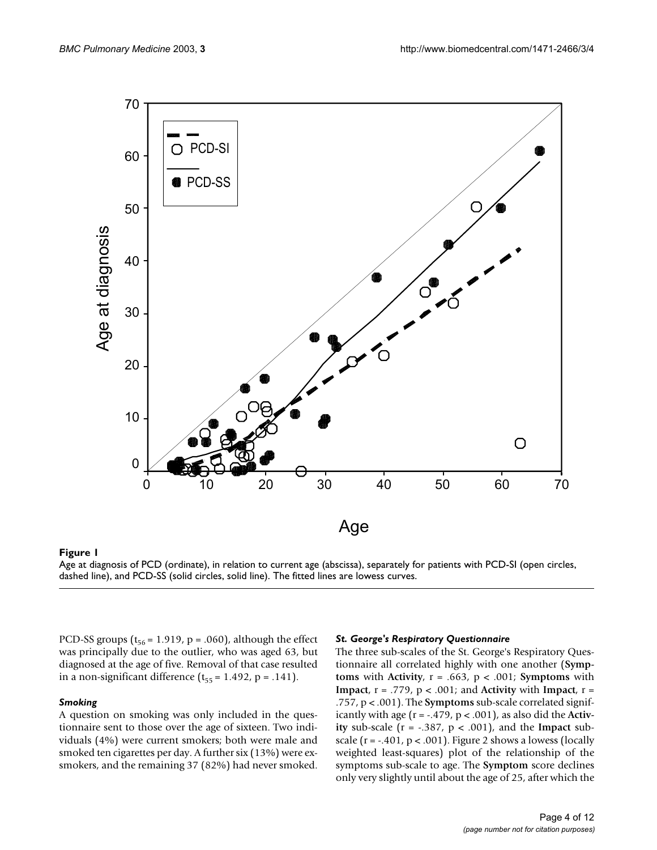

## dashed line), and PCD-SS (solid circles, solid line) **Figure 1** Age at diagnosis of PCD (ordinate), in relation to current age (abscissa), separately for patients with PCD-SI (open circles,

Age at diagnosis of PCD (ordinate), in relation to current age (abscissa), separately for patients with PCD-SI (open circles, dashed line), and PCD-SS (solid circles, solid line). The fitted lines are lowess curves.

PCD-SS groups ( $t_{56}$  = 1.919, p = .060), although the effect was principally due to the outlier, who was aged 63, but diagnosed at the age of five. Removal of that case resulted in a non-significant difference  $(t_{55} = 1.492, p = .141)$ .

#### *Smoking*

A question on smoking was only included in the questionnaire sent to those over the age of sixteen. Two individuals (4%) were current smokers; both were male and smoked ten cigarettes per day. A further six (13%) were exsmokers, and the remaining 37 (82%) had never smoked.

#### *St. George's Respiratory Questionnaire*

The three sub-scales of the St. George's Respiratory Questionnaire all correlated highly with one another (**Symptoms** with **Activity**, r = .663, p < .001; **Symptoms** with **Impact**, r = .779, p < .001; and **Activity** with **Impact**, r = .757, p < .001). The **Symptoms** sub-scale correlated significantly with age (r = -.479, p < .001), as also did the **Activity** sub-scale  $(r = -.387, p < .001)$ , and the **Impact** subscale ( $r = -0.401$ ,  $p < 0.001$ ). Figure 2 shows a lowess (locally weighted least-squares) plot of the relationship of the symptoms sub-scale to age. The **Symptom** score declines only very slightly until about the age of 25, after which the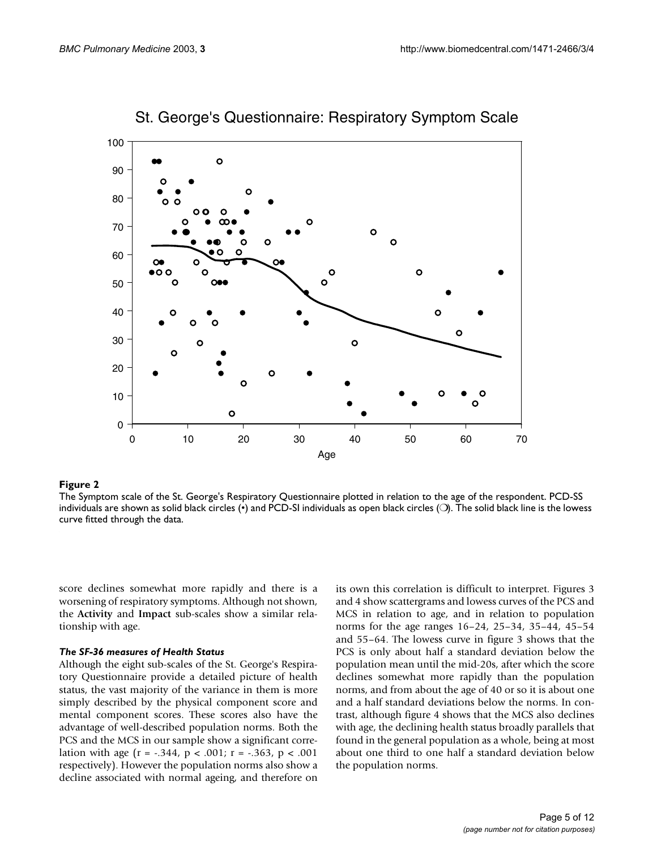

St. George's Questionnaire: Respiratory Symptom Scale

#### **Figure 2** The Symptom scale of the St. George's Respiratory Questionnaire plotted in relations of the age of the respondent in relation to the age of the age of the age of the respondent in relation to the age of the age

The Symptom scale of the St. George's Respiratory Questionnaire plotted in relation to the age of the respondent. PCD-SS individuals are shown as solid black circles (•) and PCD-SI individuals as open black circles (○). The solid black line is the lowess curve fitted through the data.

score declines somewhat more rapidly and there is a worsening of respiratory symptoms. Although not shown, the **Activity** and **Impact** sub-scales show a similar relationship with age.

#### *The SF-36 measures of Health Status*

Although the eight sub-scales of the St. George's Respiratory Questionnaire provide a detailed picture of health status, the vast majority of the variance in them is more simply described by the physical component score and mental component scores. These scores also have the advantage of well-described population norms. Both the PCS and the MCS in our sample show a significant correlation with age  $(r = -.344, p < .001; r = -.363, p < .001$ respectively). However the population norms also show a decline associated with normal ageing, and therefore on

its own this correlation is difficult to interpret. Figures 3 and 4 show scattergrams and lowess curves of the PCS and MCS in relation to age, and in relation to population norms for the age ranges 16–24, 25–34, 35–44, 45–54 and 55–64. The lowess curve in figure 3 shows that the PCS is only about half a standard deviation below the population mean until the mid-20s, after which the score declines somewhat more rapidly than the population norms, and from about the age of 40 or so it is about one and a half standard deviations below the norms. In contrast, although figure 4 shows that the MCS also declines with age, the declining health status broadly parallels that found in the general population as a whole, being at most about one third to one half a standard deviation below the population norms.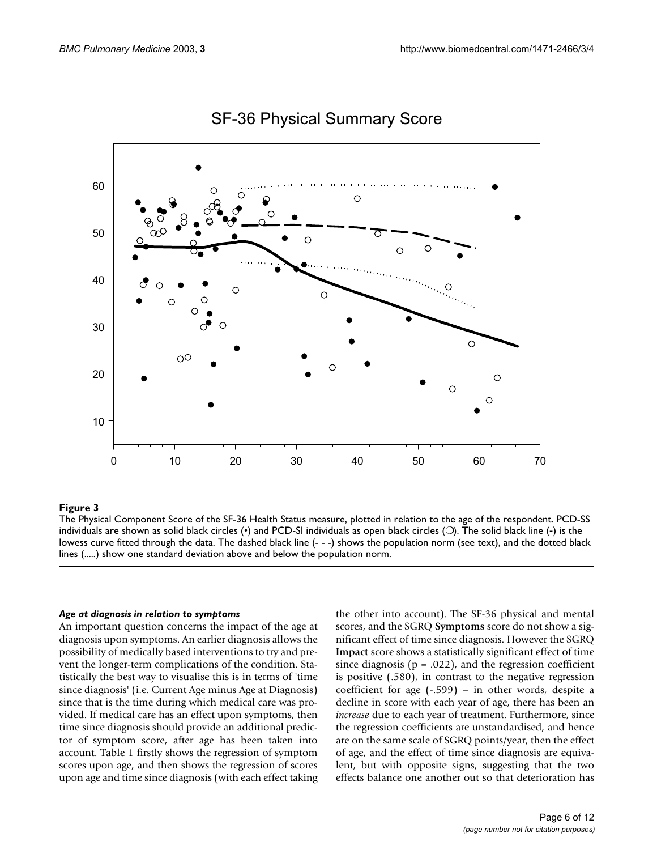

## SF-36 Physical Summary Score

#### The Physical Component Score of the SF- **Figure 3** 36 Health Status measure, plotted in relation to the age of the respondent

The Physical Component Score of the SF-36 Health Status measure, plotted in relation to the age of the respondent. PCD-SS individuals are shown as solid black circles (•) and PCD-SI individuals as open black circles (❍). The solid black line (**-**) is the lowess curve fitted through the data. The dashed black line (- - -) shows the population norm (see text), and the dotted black lines (.....) show one standard deviation above and below the population norm.

#### *Age at diagnosis in relation to symptoms*

An important question concerns the impact of the age at diagnosis upon symptoms. An earlier diagnosis allows the possibility of medically based interventions to try and prevent the longer-term complications of the condition. Statistically the best way to visualise this is in terms of 'time since diagnosis' (i.e. Current Age minus Age at Diagnosis) since that is the time during which medical care was provided. If medical care has an effect upon symptoms, then time since diagnosis should provide an additional predictor of symptom score, after age has been taken into account. Table [1](#page-6-0) firstly shows the regression of symptom scores upon age, and then shows the regression of scores upon age and time since diagnosis (with each effect taking the other into account). The SF-36 physical and mental scores, and the SGRQ **Symptoms** score do not show a significant effect of time since diagnosis. However the SGRQ **Impact** score shows a statistically significant effect of time since diagnosis ( $p = .022$ ), and the regression coefficient is positive (.580), in contrast to the negative regression coefficient for age (-.599) – in other words, despite a decline in score with each year of age, there has been an *increase* due to each year of treatment. Furthermore, since the regression coefficients are unstandardised, and hence are on the same scale of SGRQ points/year, then the effect of age, and the effect of time since diagnosis are equivalent, but with opposite signs, suggesting that the two effects balance one another out so that deterioration has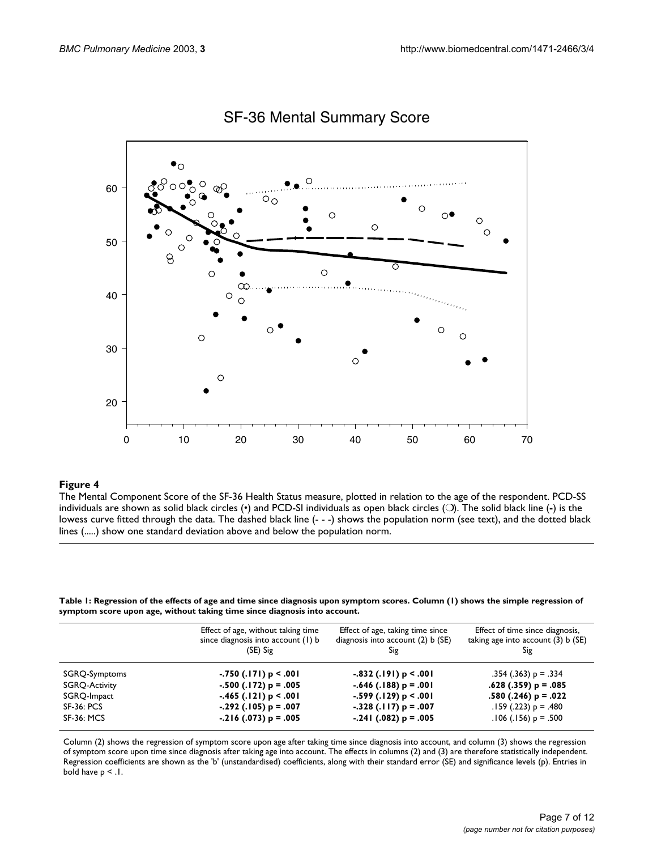

## SF-36 Mental Summary Score

#### **Figure 4** The Mental Component Score of the SF-36 Health Status measure, plotted in relation to the age of the age of the age of the age of the age of the age of the age of the age of the age of the age of the age of the

The Mental Component Score of the SF-36 Health Status measure, plotted in relation to the age of the respondent. PCD-SS individuals are shown as solid black circles (•) and PCD-SI individuals as open black circles (❍). The solid black line (**-**) is the lowess curve fitted through the data. The dashed black line (- - -) shows the population norm (see text), and the dotted black lines (.....) show one standard deviation above and below the population norm.

<span id="page-6-0"></span>**Table 1: Regression of the effects of age and time since diagnosis upon symptom scores. Column (1) shows the simple regression of symptom score upon age, without taking time since diagnosis into account.**

|                      | Effect of age, without taking time<br>since diagnosis into account (1) b<br>(SE) Sig | Effect of age, taking time since<br>diagnosis into account $(2)$ b $(SE)$<br>Sig | Effect of time since diagnosis,<br>taking age into account (3) b (SE)<br>Sig |
|----------------------|--------------------------------------------------------------------------------------|----------------------------------------------------------------------------------|------------------------------------------------------------------------------|
| SGRQ-Symptoms        | $-0.750$ (.171) p < $0.001$                                                          | $-0.832$ (.191) p < $0.001$                                                      | $.354$ (.363) p = .334                                                       |
| <b>SGRQ-Activity</b> | $-.500(.172)$ p = .005                                                               | $-.646(.188) p = .001$                                                           | $.628(.359)$ p = $.085$                                                      |
| SGRQ-Impact          | $-465$ (.121) p < .001                                                               | $-599$ (.129) p < .001                                                           | $.580(.246) p = .022$                                                        |
| <b>SF-36: PCS</b>    | $-.292(.105)$ p = .007                                                               | $-.328(.117) p = .007$                                                           | $.159$ (.223) p = .480                                                       |
| <b>SF-36: MCS</b>    | $-216$ (.073) p = .005                                                               | $-.241$ (.082) p = .005                                                          | $.106$ (.156) p = .500                                                       |

Column (2) shows the regression of symptom score upon age after taking time since diagnosis into account, and column (3) shows the regression of symptom score upon time since diagnosis after taking age into account. The effects in columns (2) and (3) are therefore statistically independent. Regression coefficients are shown as the 'b' (unstandardised) coefficients, along with their standard error (SE) and significance levels (p). Entries in bold have p < .1.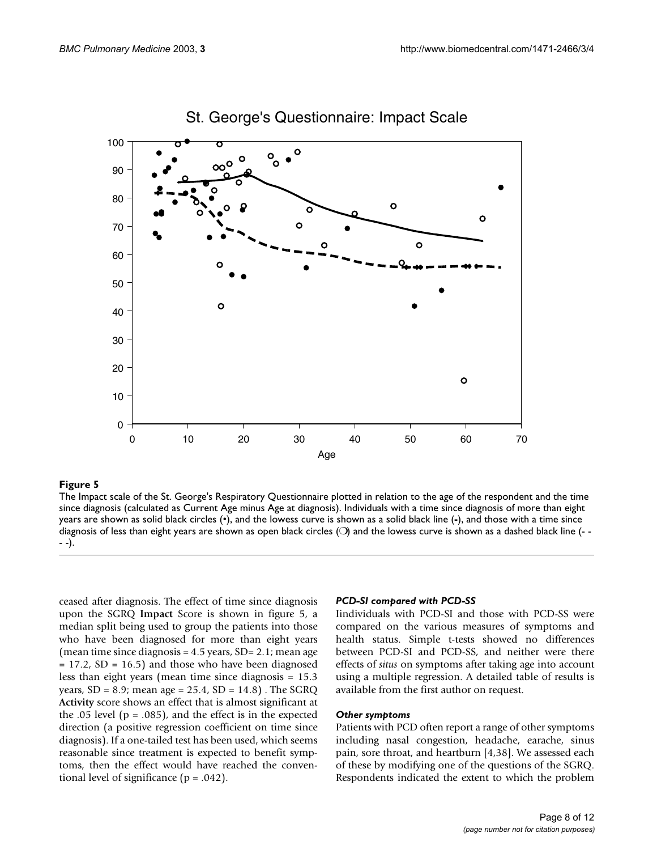

## St. George's Questionnaire: Impact Scale

#### The Impact scale of the St. George's Respir since diagnosis (calculated as Cu **Figure 5** rrent Age minus Age at diagnosis) atory Questionnaire plotted in relation to the age of the respondent and the time

The Impact scale of the St. George's Respiratory Questionnaire plotted in relation to the age of the respondent and the time since diagnosis (calculated as Current Age minus Age at diagnosis). Individuals with a time since diagnosis of more than eight years are shown as solid black circles (•), and the lowess curve is shown as a solid black line (**-**), and those with a time since diagnosis of less than eight years are shown as open black circles  $($   $\bigcirc$ ) and the lowess curve is shown as a dashed black line (- -- -).

ceased after diagnosis. The effect of time since diagnosis upon the SGRQ **Impact** Score is shown in figure 5, a median split being used to group the patients into those who have been diagnosed for more than eight years (mean time since diagnosis  $= 4.5$  years, SD $= 2.1$ ; mean age  $= 17.2$ , SD  $= 16.5$ ) and those who have been diagnosed less than eight years (mean time since diagnosis = 15.3 years, SD = 8.9; mean age = 25.4, SD = 14.8) . The SGRQ **Activity** score shows an effect that is almost significant at the .05 level ( $p = .085$ ), and the effect is in the expected direction (a positive regression coefficient on time since diagnosis). If a one-tailed test has been used, which seems reasonable since treatment is expected to benefit symptoms, then the effect would have reached the conventional level of significance ( $p = .042$ ).

#### *PCD-SI compared with PCD-SS*

Iindividuals with PCD-SI and those with PCD-SS were compared on the various measures of symptoms and health status. Simple t-tests showed no differences between PCD-SI and PCD-SS, and neither were there effects of *situs* on symptoms after taking age into account using a multiple regression. A detailed table of results is available from the first author on request.

#### *Other symptoms*

Patients with PCD often report a range of other symptoms including nasal congestion, headache, earache, sinus pain, sore throat, and heartburn [4,38]. We assessed each of these by modifying one of the questions of the SGRQ. Respondents indicated the extent to which the problem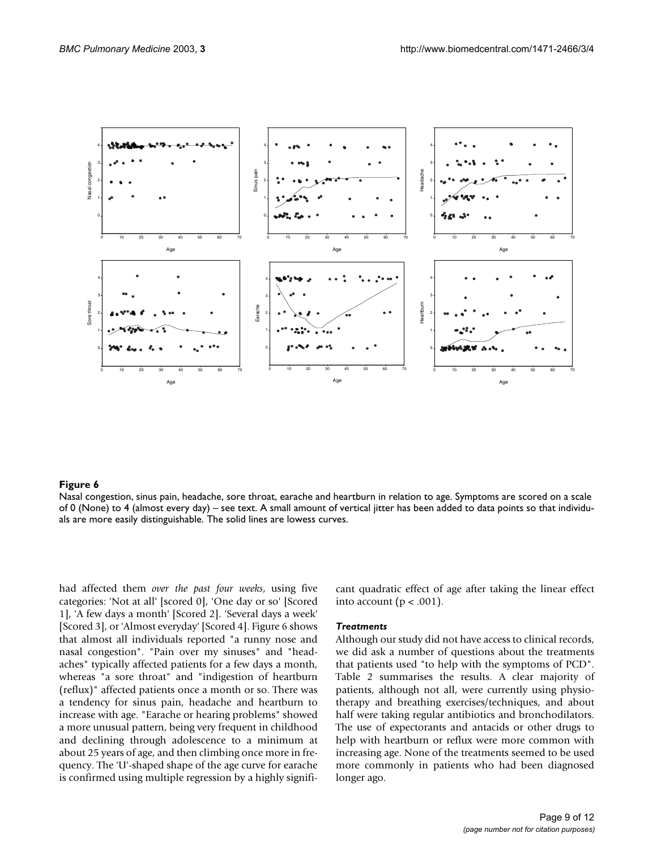

#### Nasal congestion, sinus pain, headache, sore thro **Figure 6** at, earache and heartburn in relation to age

Nasal congestion, sinus pain, headache, sore throat, earache and heartburn in relation to age. Symptoms are scored on a scale of 0 (None) to 4 (almost every day) – see text. A small amount of vertical jitter has been added to data points so that individuals are more easily distinguishable. The solid lines are lowess curves.

had affected them *over the past four weeks*, using five categories: 'Not at all' [scored 0], 'One day or so' [Scored 1], 'A few days a month' [Scored 2]. 'Several days a week' [Scored 3], or 'Almost everyday' [Scored 4]. Figure 6 shows that almost all individuals reported "a runny nose and nasal congestion". "Pain over my sinuses" and "headaches" typically affected patients for a few days a month, whereas "a sore throat" and "indigestion of heartburn (reflux)" affected patients once a month or so. There was a tendency for sinus pain, headache and heartburn to increase with age. "Earache or hearing problems" showed a more unusual pattern, being very frequent in childhood and declining through adolescence to a minimum at about 25 years of age, and then climbing once more in frequency. The 'U'-shaped shape of the age curve for earache is confirmed using multiple regression by a highly significant quadratic effect of age after taking the linear effect into account ( $p < .001$ ).

### *Treatments*

Although our study did not have access to clinical records, we did ask a number of questions about the treatments that patients used "to help with the symptoms of PCD". Table [2](#page-9-0) summarises the results. A clear majority of patients, although not all, were currently using physiotherapy and breathing exercises/techniques, and about half were taking regular antibiotics and bronchodilators. The use of expectorants and antacids or other drugs to help with heartburn or reflux were more common with increasing age. None of the treatments seemed to be used more commonly in patients who had been diagnosed longer ago.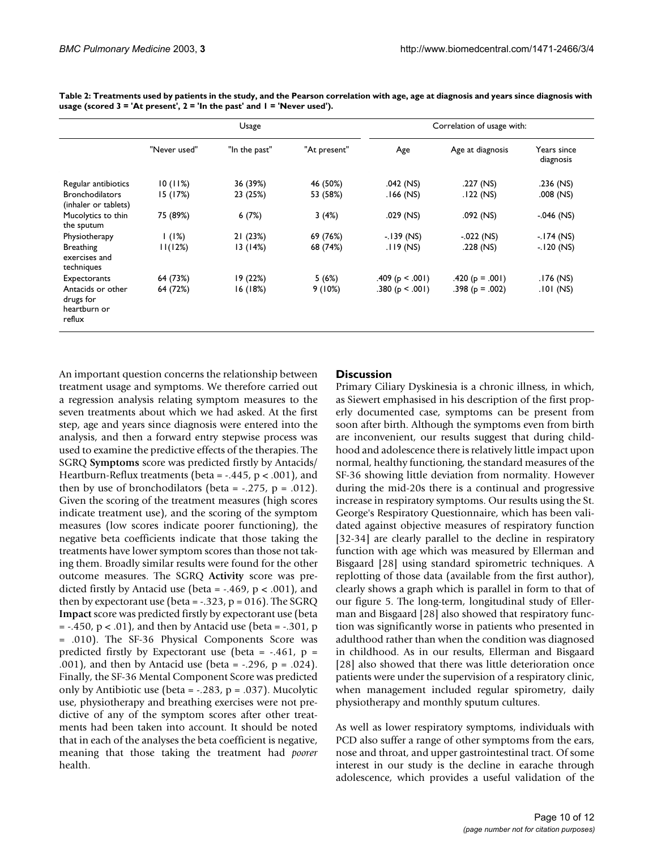|                                                          | Usage        |               |              | Correlation of usage with: |                     |                          |
|----------------------------------------------------------|--------------|---------------|--------------|----------------------------|---------------------|--------------------------|
|                                                          | "Never used" | "In the past" | "At present" | Age                        | Age at diagnosis    | Years since<br>diagnosis |
| Regular antibiotics                                      | 10(11%)      | 36 (39%)      | 46 (50%)     | $.042$ (NS)                | .227 (NS)           | $.236$ (NS)              |
| <b>Bronchodilators</b><br>(inhaler or tablets)           | 15 (17%)     | 23 (25%)      | 53 (58%)     | $.166$ (NS)                | .122 (NS)           | $.008$ (NS)              |
| Mucolytics to thin<br>the sputum                         | 75 (89%)     | 6(7%)         | 3(4%)        | .029 (NS)                  | .092 (NS)           | $-.046$ (NS)             |
| Physiotherapy                                            | (1%)         | 21(23%)       | 69 (76%)     | $-139$ (NS)                | $-.022$ (NS)        | $-174$ (NS)              |
| <b>Breathing</b><br>exercises and<br>techniques          | 11(12%)      | 13(14%)       | 68 (74%)     | $.119$ (NS)                | $.228$ (NS)         | $-120$ (NS)              |
| Expectorants                                             | 64 (73%)     | 19 (22%)      | 5(6%)        | .409 ( $p < .001$ )        | $.420(p = .001)$    | $.176$ (NS)              |
| Antacids or other<br>drugs for<br>heartburn or<br>reflux | 64 (72%)     | 16(18%)       | 9(10%)       | .380 ( $p < .001$ )        | .398 ( $p = .002$ ) | $.101$ (NS)              |

<span id="page-9-0"></span>**Table 2: Treatments used by patients in the study, and the Pearson correlation with age, age at diagnosis and years since diagnosis with usage (scored 3 = 'At present', 2 = 'In the past' and 1 = 'Never used').**

An important question concerns the relationship between treatment usage and symptoms. We therefore carried out a regression analysis relating symptom measures to the seven treatments about which we had asked. At the first step, age and years since diagnosis were entered into the analysis, and then a forward entry stepwise process was used to examine the predictive effects of the therapies. The SGRQ **Symptoms** score was predicted firstly by Antacids/ Heartburn-Reflux treatments (beta = -.445, p < .001), and then by use of bronchodilators (beta =  $-.275$ , p =  $.012$ ). Given the scoring of the treatment measures (high scores indicate treatment use), and the scoring of the symptom measures (low scores indicate poorer functioning), the negative beta coefficients indicate that those taking the treatments have lower symptom scores than those not taking them. Broadly similar results were found for the other outcome measures. The SGRQ **Activity** score was predicted firstly by Antacid use (beta = -.469,  $p < .001$ ), and then by expectorant use (beta =  $-.323$ , p = 016). The SGRQ **Impact** score was predicted firstly by expectorant use (beta  $= -.450$ ,  $p < .01$ ), and then by Antacid use (beta  $= -.301$ , p = .010). The SF-36 Physical Components Score was predicted firstly by Expectorant use (beta =  $-.461$ , p = .001), and then by Antacid use (beta = -.296, p = .024). Finally, the SF-36 Mental Component Score was predicted only by Antibiotic use (beta = -.283, p = .037). Mucolytic use, physiotherapy and breathing exercises were not predictive of any of the symptom scores after other treatments had been taken into account. It should be noted that in each of the analyses the beta coefficient is negative, meaning that those taking the treatment had *poorer* health.

## **Discussion**

Primary Ciliary Dyskinesia is a chronic illness, in which, as Siewert emphasised in his description of the first properly documented case, symptoms can be present from soon after birth. Although the symptoms even from birth are inconvenient, our results suggest that during childhood and adolescence there is relatively little impact upon normal, healthy functioning, the standard measures of the SF-36 showing little deviation from normality. However during the mid-20s there is a continual and progressive increase in respiratory symptoms. Our results using the St. George's Respiratory Questionnaire, which has been validated against objective measures of respiratory function [32-34] are clearly parallel to the decline in respiratory function with age which was measured by Ellerman and Bisgaard [28] using standard spirometric techniques. A replotting of those data (available from the first author), clearly shows a graph which is parallel in form to that of our figure 5. The long-term, longitudinal study of Ellerman and Bisgaard [28] also showed that respiratory function was significantly worse in patients who presented in adulthood rather than when the condition was diagnosed in childhood. As in our results, Ellerman and Bisgaard [28] also showed that there was little deterioration once patients were under the supervision of a respiratory clinic, when management included regular spirometry, daily physiotherapy and monthly sputum cultures.

As well as lower respiratory symptoms, individuals with PCD also suffer a range of other symptoms from the ears, nose and throat, and upper gastrointestinal tract. Of some interest in our study is the decline in earache through adolescence, which provides a useful validation of the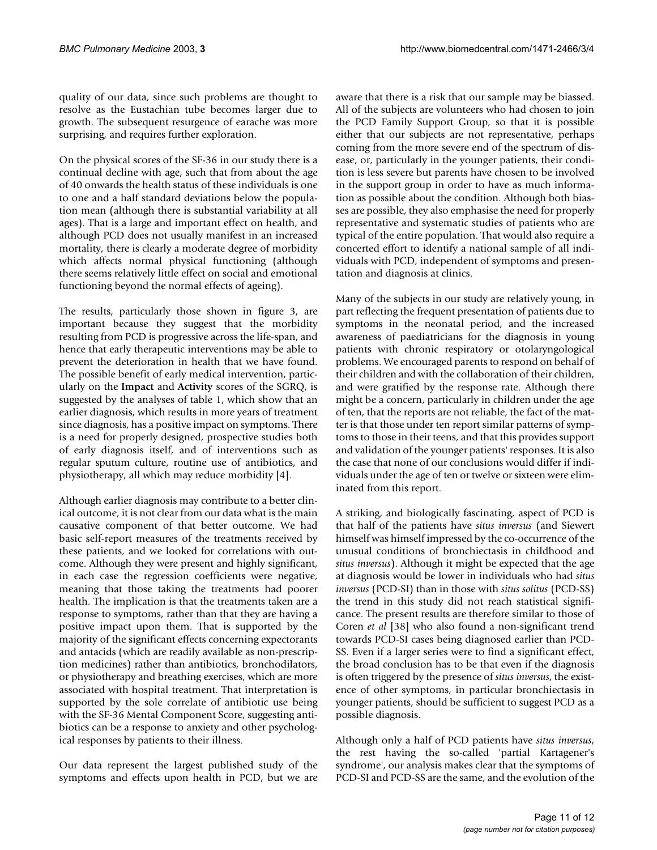quality of our data, since such problems are thought to resolve as the Eustachian tube becomes larger due to growth. The subsequent resurgence of earache was more surprising, and requires further exploration.

On the physical scores of the SF-36 in our study there is a continual decline with age, such that from about the age of 40 onwards the health status of these individuals is one to one and a half standard deviations below the population mean (although there is substantial variability at all ages). That is a large and important effect on health, and although PCD does not usually manifest in an increased mortality, there is clearly a moderate degree of morbidity which affects normal physical functioning (although there seems relatively little effect on social and emotional functioning beyond the normal effects of ageing).

The results, particularly those shown in figure 3, are important because they suggest that the morbidity resulting from PCD is progressive across the life-span, and hence that early therapeutic interventions may be able to prevent the deterioration in health that we have found. The possible benefit of early medical intervention, particularly on the **Impact** and **Activity** scores of the SGRQ, is suggested by the analyses of table [1](#page-6-0), which show that an earlier diagnosis, which results in more years of treatment since diagnosis, has a positive impact on symptoms. There is a need for properly designed, prospective studies both of early diagnosis itself, and of interventions such as regular sputum culture, routine use of antibiotics, and physiotherapy, all which may reduce morbidity [4].

Although earlier diagnosis may contribute to a better clinical outcome, it is not clear from our data what is the main causative component of that better outcome. We had basic self-report measures of the treatments received by these patients, and we looked for correlations with outcome. Although they were present and highly significant, in each case the regression coefficients were negative, meaning that those taking the treatments had poorer health. The implication is that the treatments taken are a response to symptoms, rather than that they are having a positive impact upon them. That is supported by the majority of the significant effects concerning expectorants and antacids (which are readily available as non-prescription medicines) rather than antibiotics, bronchodilators, or physiotherapy and breathing exercises, which are more associated with hospital treatment. That interpretation is supported by the sole correlate of antibiotic use being with the SF-36 Mental Component Score, suggesting antibiotics can be a response to anxiety and other psychological responses by patients to their illness.

Our data represent the largest published study of the symptoms and effects upon health in PCD, but we are aware that there is a risk that our sample may be biassed. All of the subjects are volunteers who had chosen to join the PCD Family Support Group, so that it is possible either that our subjects are not representative, perhaps coming from the more severe end of the spectrum of disease, or, particularly in the younger patients, their condition is less severe but parents have chosen to be involved in the support group in order to have as much information as possible about the condition. Although both biasses are possible, they also emphasise the need for properly representative and systematic studies of patients who are typical of the entire population. That would also require a concerted effort to identify a national sample of all individuals with PCD, independent of symptoms and presentation and diagnosis at clinics.

Many of the subjects in our study are relatively young, in part reflecting the frequent presentation of patients due to symptoms in the neonatal period, and the increased awareness of paediatricians for the diagnosis in young patients with chronic respiratory or otolaryngological problems. We encouraged parents to respond on behalf of their children and with the collaboration of their children, and were gratified by the response rate. Although there might be a concern, particularly in children under the age of ten, that the reports are not reliable, the fact of the matter is that those under ten report similar patterns of symptoms to those in their teens, and that this provides support and validation of the younger patients' responses. It is also the case that none of our conclusions would differ if individuals under the age of ten or twelve or sixteen were eliminated from this report.

A striking, and biologically fascinating, aspect of PCD is that half of the patients have *situs inversus* (and Siewert himself was himself impressed by the co-occurrence of the unusual conditions of bronchiectasis in childhood and *situs inversus*). Although it might be expected that the age at diagnosis would be lower in individuals who had *situs inversus* (PCD-SI) than in those with *situs solitus* (PCD-SS) the trend in this study did not reach statistical significance. The present results are therefore similar to those of Coren *et al* [38] who also found a non-significant trend towards PCD-SI cases being diagnosed earlier than PCD-SS. Even if a larger series were to find a significant effect, the broad conclusion has to be that even if the diagnosis is often triggered by the presence of *situs inversus*, the existence of other symptoms, in particular bronchiectasis in younger patients, should be sufficient to suggest PCD as a possible diagnosis.

Although only a half of PCD patients have *situs inversus*, the rest having the so-called 'partial Kartagener's syndrome', our analysis makes clear that the symptoms of PCD-SI and PCD-SS are the same, and the evolution of the